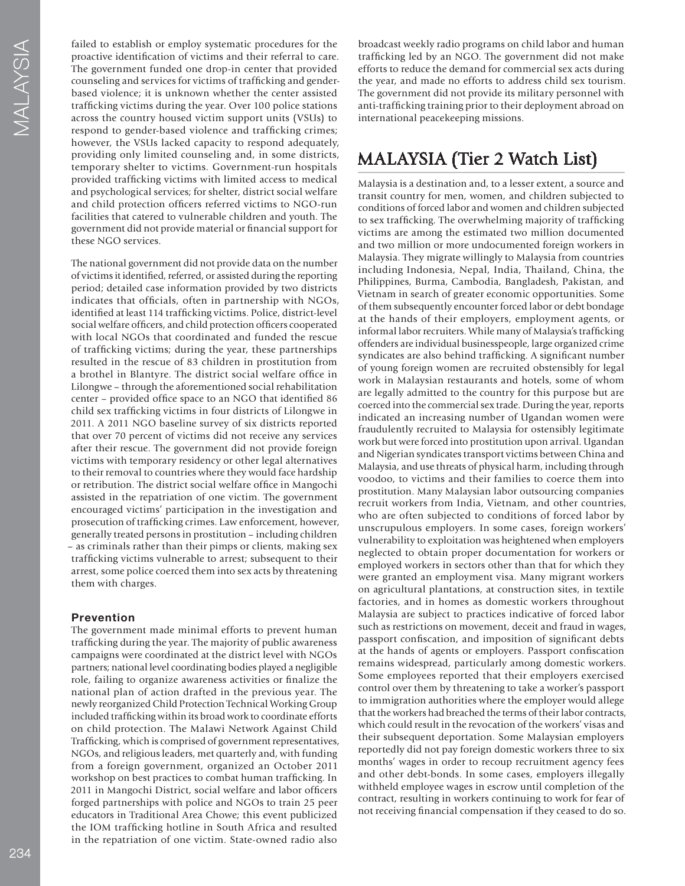failed to establish or employ systematic procedures for the proactive identifcation of victims and their referral to care. The government funded one drop-in center that provided counseling and services for victims of traffcking and genderbased violence; it is unknown whether the center assisted traffcking victims during the year. Over 100 police stations across the country housed victim support units (VSUs) to respond to gender-based violence and traffcking crimes; however, the VSUs lacked capacity to respond adequately, providing only limited counseling and, in some districts, temporary shelter to victims. Government-run hospitals provided traffcking victims with limited access to medical and psychological services; for shelter, district social welfare and child protection officers referred victims to NGO-run facilities that catered to vulnerable children and youth. The government did not provide material or fnancial support for these NGO services.

The national government did not provide data on the number of victims it identifed, referred, or assisted during the reporting period; detailed case information provided by two districts indicates that officials, often in partnership with NGOs, identifed at least 114 traffcking victims. Police, district-level social welfare officers, and child protection officers cooperated with local NGOs that coordinated and funded the rescue of traffcking victims; during the year, these partnerships resulted in the rescue of 83 children in prostitution from a brothel in Blantyre. The district social welfare offce in Lilongwe – through the aforementioned social rehabilitation center – provided offce space to an NGO that identifed 86 child sex traffcking victims in four districts of Lilongwe in 2011. A 2011 NGO baseline survey of six districts reported that over 70 percent of victims did not receive any services after their rescue. The government did not provide foreign victims with temporary residency or other legal alternatives to their removal to countries where they would face hardship or retribution. The district social welfare offce in Mangochi assisted in the repatriation of one victim. The government encouraged victims' participation in the investigation and prosecution of traffcking crimes. Law enforcement, however, generally treated persons in prostitution – including children – as criminals rather than their pimps or clients, making sex traffcking victims vulnerable to arrest; subsequent to their arrest, some police coerced them into sex acts by threatening them with charges.

### **Prevention**

The government made minimal efforts to prevent human traffcking during the year. The majority of public awareness campaigns were coordinated at the district level with NGOs partners; national level coordinating bodies played a negligible role, failing to organize awareness activities or fnalize the national plan of action drafted in the previous year. The newly reorganized Child Protection Technical Working Group included traffcking within its broad work to coordinate efforts on child protection. The Malawi Network Against Child Traffcking, which is comprised of government representatives, NGOs, and religious leaders, met quarterly and, with funding from a foreign government, organized an October 2011 workshop on best practices to combat human traffcking. In 2011 in Mangochi District, social welfare and labor offcers forged partnerships with police and NGOs to train 25 peer educators in Traditional Area Chowe; this event publicized the IOM traffcking hotline in South Africa and resulted in the repatriation of one victim. State-owned radio also

broadcast weekly radio programs on child labor and human traffcking led by an NGO. The government did not make efforts to reduce the demand for commercial sex acts during the year, and made no efforts to address child sex tourism. The government did not provide its military personnel with anti-traffcking training prior to their deployment abroad on international peacekeeping missions.

# MALAYSIA (Tier 2 Watch List)

Malaysia is a destination and, to a lesser extent, a source and transit country for men, women, and children subjected to conditions of forced labor and women and children subjected to sex traffcking. The overwhelming majority of traffcking victims are among the estimated two million documented and two million or more undocumented foreign workers in Malaysia. They migrate willingly to Malaysia from countries including Indonesia, Nepal, India, Thailand, China, the Philippines, Burma, Cambodia, Bangladesh, Pakistan, and Vietnam in search of greater economic opportunities. Some of them subsequently encounter forced labor or debt bondage at the hands of their employers, employment agents, or informal labor recruiters. While many of Malaysia's traffcking offenders are individual businesspeople, large organized crime syndicates are also behind traffcking. A signifcant number of young foreign women are recruited obstensibly for legal work in Malaysian restaurants and hotels, some of whom are legally admitted to the country for this purpose but are coerced into the commercial sex trade. During the year, reports indicated an increasing number of Ugandan women were fraudulently recruited to Malaysia for ostensibly legitimate work but were forced into prostitution upon arrival. Ugandan and Nigerian syndicates transport victims between China and Malaysia, and use threats of physical harm, including through voodoo, to victims and their families to coerce them into prostitution. Many Malaysian labor outsourcing companies recruit workers from India, Vietnam, and other countries, who are often subjected to conditions of forced labor by unscrupulous employers. In some cases, foreign workers' vulnerability to exploitation was heightened when employers neglected to obtain proper documentation for workers or employed workers in sectors other than that for which they were granted an employment visa. Many migrant workers on agricultural plantations, at construction sites, in textile factories, and in homes as domestic workers throughout Malaysia are subject to practices indicative of forced labor such as restrictions on movement, deceit and fraud in wages, passport confscation, and imposition of signifcant debts at the hands of agents or employers. Passport confscation remains widespread, particularly among domestic workers. Some employees reported that their employers exercised control over them by threatening to take a worker's passport to immigration authorities where the employer would allege that the workers had breached the terms of their labor contracts, which could result in the revocation of the workers' visas and their subsequent deportation. Some Malaysian employers reportedly did not pay foreign domestic workers three to six months' wages in order to recoup recruitment agency fees and other debt-bonds. In some cases, employers illegally withheld employee wages in escrow until completion of the contract, resulting in workers continuing to work for fear of not receiving fnancial compensation if they ceased to do so.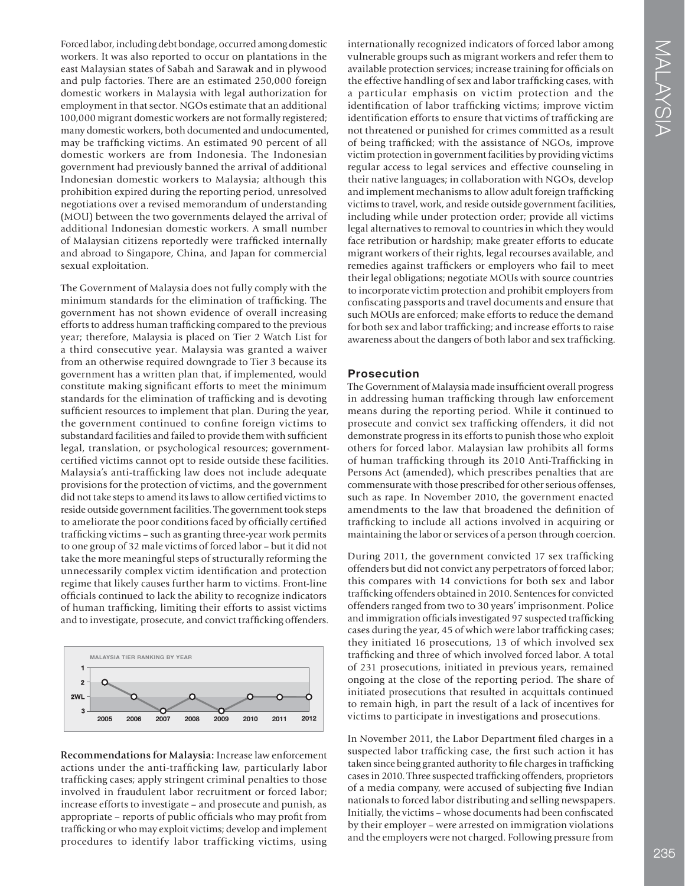Forced labor, including debt bondage, occurred among domestic workers. It was also reported to occur on plantations in the east Malaysian states of Sabah and Sarawak and in plywood and pulp factories. There are an estimated 250,000 foreign domestic workers in Malaysia with legal authorization for employment in that sector. NGOs estimate that an additional 100,000 migrant domestic workers are not formally registered; many domestic workers, both documented and undocumented, may be traffcking victims. An estimated 90 percent of all domestic workers are from Indonesia. The Indonesian government had previously banned the arrival of additional Indonesian domestic workers to Malaysia; although this prohibition expired during the reporting period, unresolved negotiations over a revised memorandum of understanding (MOU) between the two governments delayed the arrival of additional Indonesian domestic workers. A small number of Malaysian citizens reportedly were traffcked internally and abroad to Singapore, China, and Japan for commercial sexual exploitation.

The Government of Malaysia does not fully comply with the minimum standards for the elimination of traffcking. The government has not shown evidence of overall increasing efforts to address human traffcking compared to the previous year; therefore, Malaysia is placed on Tier 2 Watch List for a third consecutive year. Malaysia was granted a waiver from an otherwise required downgrade to Tier 3 because its government has a written plan that, if implemented, would constitute making signifcant efforts to meet the minimum standards for the elimination of traffcking and is devoting sufficient resources to implement that plan. During the year, the government continued to confne foreign victims to substandard facilities and failed to provide them with suffcient legal, translation, or psychological resources; governmentcertifed victims cannot opt to reside outside these facilities. Malaysia's anti-traffcking law does not include adequate provisions for the protection of victims, and the government did not take steps to amend its laws to allow certifed victims to reside outside government facilities. The government took steps to ameliorate the poor conditions faced by offcially certifed traffcking victims – such as granting three-year work permits to one group of 32 male victims of forced labor – but it did not take the more meaningful steps of structurally reforming the unnecessarily complex victim identifcation and protection regime that likely causes further harm to victims. Front-line offcials continued to lack the ability to recognize indicators of human traffcking, limiting their efforts to assist victims and to investigate, prosecute, and convict traffcking offenders.



**Recommendations for Malaysia:** Increase law enforcement actions under the anti-traffcking law, particularly labor traffcking cases; apply stringent criminal penalties to those involved in fraudulent labor recruitment or forced labor; increase efforts to investigate – and prosecute and punish, as appropriate – reports of public offcials who may proft from traffcking or who may exploit victims; develop and implement procedures to identify labor trafficking victims, using internationally recognized indicators of forced labor among vulnerable groups such as migrant workers and refer them to available protection services; increase training for officials on the effective handling of sex and labor traffcking cases, with a particular emphasis on victim protection and the identifcation of labor traffcking victims; improve victim identification efforts to ensure that victims of trafficking are not threatened or punished for crimes committed as a result of being traffcked; with the assistance of NGOs, improve victim protection in government facilities by providing victims regular access to legal services and effective counseling in their native languages; in collaboration with NGOs, develop and implement mechanisms to allow adult foreign traffcking victims to travel, work, and reside outside government facilities, including while under protection order; provide all victims legal alternatives to removal to countries in which they would face retribution or hardship; make greater efforts to educate migrant workers of their rights, legal recourses available, and remedies against traffckers or employers who fail to meet their legal obligations; negotiate MOUs with source countries to incorporate victim protection and prohibit employers from confscating passports and travel documents and ensure that such MOUs are enforced; make efforts to reduce the demand for both sex and labor traffcking; and increase efforts to raise awareness about the dangers of both labor and sex traffcking.

#### **Prosecution**

The Government of Malaysia made insuffcient overall progress in addressing human traffcking through law enforcement means during the reporting period. While it continued to prosecute and convict sex traffcking offenders, it did not demonstrate progress in its efforts to punish those who exploit others for forced labor. Malaysian law prohibits all forms of human traffcking through its 2010 Anti-Traffcking in Persons Act (amended), which prescribes penalties that are commensurate with those prescribed for other serious offenses, such as rape. In November 2010, the government enacted amendments to the law that broadened the defnition of traffcking to include all actions involved in acquiring or maintaining the labor or services of a person through coercion.

During 2011, the government convicted 17 sex trafficking offenders but did not convict any perpetrators of forced labor; this compares with 14 convictions for both sex and labor traffcking offenders obtained in 2010. Sentences for convicted offenders ranged from two to 30 years' imprisonment. Police and immigration officials investigated 97 suspected trafficking cases during the year, 45 of which were labor traffcking cases; they initiated 16 prosecutions, 13 of which involved sex traffcking and three of which involved forced labor. A total of 231 prosecutions, initiated in previous years, remained ongoing at the close of the reporting period. The share of initiated prosecutions that resulted in acquittals continued to remain high, in part the result of a lack of incentives for victims to participate in investigations and prosecutions.

In November 2011, the Labor Department fled charges in a suspected labor traffcking case, the frst such action it has taken since being granted authority to fle charges in traffcking cases in 2010. Three suspected traffcking offenders, proprietors of a media company, were accused of subjecting fve Indian nationals to forced labor distributing and selling newspapers. Initially, the victims – whose documents had been confscated by their employer – were arrested on immigration violations and the employers were not charged. Following pressure from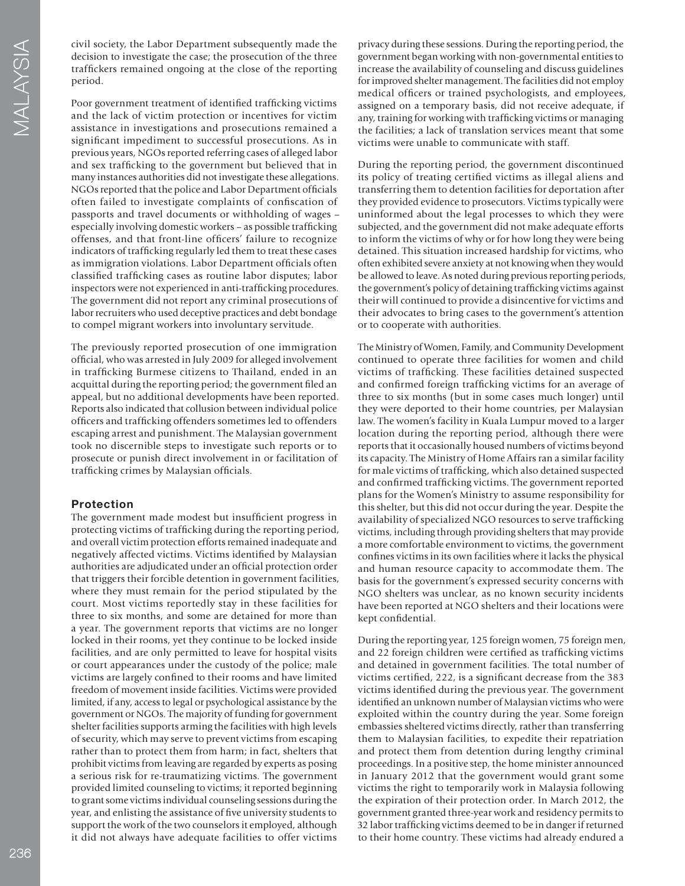civil society, the Labor Department subsequently made the decision to investigate the case; the prosecution of the three traffckers remained ongoing at the close of the reporting period.

Poor government treatment of identified trafficking victims and the lack of victim protection or incentives for victim assistance in investigations and prosecutions remained a signifcant impediment to successful prosecutions. As in previous years, NGOs reported referring cases of alleged labor and sex traffcking to the government but believed that in many instances authorities did not investigate these allegations. NGOs reported that the police and Labor Department officials often failed to investigate complaints of confscation of passports and travel documents or withholding of wages – especially involving domestic workers – as possible traffcking offenses, and that front-line offcers' failure to recognize indicators of traffcking regularly led them to treat these cases as immigration violations. Labor Department officials often classifed traffcking cases as routine labor disputes; labor inspectors were not experienced in anti-traffcking procedures. The government did not report any criminal prosecutions of labor recruiters who used deceptive practices and debt bondage to compel migrant workers into involuntary servitude.

The previously reported prosecution of one immigration offcial, who was arrested in July 2009 for alleged involvement in traffcking Burmese citizens to Thailand, ended in an acquittal during the reporting period; the government fled an appeal, but no additional developments have been reported. Reports also indicated that collusion between individual police offcers and traffcking offenders sometimes led to offenders escaping arrest and punishment. The Malaysian government took no discernible steps to investigate such reports or to prosecute or punish direct involvement in or facilitation of traffcking crimes by Malaysian offcials.

### **Protection**

The government made modest but insuffcient progress in protecting victims of traffcking during the reporting period, and overall victim protection efforts remained inadequate and negatively affected victims. Victims identifed by Malaysian authorities are adjudicated under an offcial protection order that triggers their forcible detention in government facilities, where they must remain for the period stipulated by the court. Most victims reportedly stay in these facilities for three to six months, and some are detained for more than a year. The government reports that victims are no longer locked in their rooms, yet they continue to be locked inside facilities, and are only permitted to leave for hospital visits or court appearances under the custody of the police; male victims are largely confned to their rooms and have limited freedom of movement inside facilities. Victims were provided limited, if any, access to legal or psychological assistance by the government or NGOs. The majority of funding for government shelter facilities supports arming the facilities with high levels of security, which may serve to prevent victims from escaping rather than to protect them from harm; in fact, shelters that prohibit victims from leaving are regarded by experts as posing a serious risk for re-traumatizing victims. The government provided limited counseling to victims; it reported beginning to grant some victims individual counseling sessions during the year, and enlisting the assistance of fve university students to support the work of the two counselors it employed, although it did not always have adequate facilities to offer victims

privacy during these sessions. During the reporting period, the government began working with non-governmental entities to increase the availability of counseling and discuss guidelines for improved shelter management. The facilities did not employ medical offcers or trained psychologists, and employees, assigned on a temporary basis, did not receive adequate, if any, training for working with traffcking victims or managing the facilities; a lack of translation services meant that some victims were unable to communicate with staff.

During the reporting period, the government discontinued its policy of treating certifed victims as illegal aliens and transferring them to detention facilities for deportation after they provided evidence to prosecutors. Victims typically were uninformed about the legal processes to which they were subjected, and the government did not make adequate efforts to inform the victims of why or for how long they were being detained. This situation increased hardship for victims, who often exhibited severe anxiety at not knowing when they would be allowed to leave. As noted during previous reporting periods, the government's policy of detaining traffcking victims against their will continued to provide a disincentive for victims and their advocates to bring cases to the government's attention or to cooperate with authorities.

The Ministry of Women, Family, and Community Development continued to operate three facilities for women and child victims of traffcking. These facilities detained suspected and confrmed foreign traffcking victims for an average of three to six months (but in some cases much longer) until they were deported to their home countries, per Malaysian law. The women's facility in Kuala Lumpur moved to a larger location during the reporting period, although there were reports that it occasionally housed numbers of victims beyond its capacity. The Ministry of Home Affairs ran a similar facility for male victims of traffcking, which also detained suspected and confrmed traffcking victims. The government reported plans for the Women's Ministry to assume responsibility for this shelter, but this did not occur during the year. Despite the availability of specialized NGO resources to serve traffcking victims, including through providing shelters that may provide a more comfortable environment to victims, the government confnes victims in its own facilities where it lacks the physical and human resource capacity to accommodate them. The basis for the government's expressed security concerns with NGO shelters was unclear, as no known security incidents have been reported at NGO shelters and their locations were kept confdential.

During the reporting year, 125 foreign women, 75 foreign men, and 22 foreign children were certifed as traffcking victims and detained in government facilities. The total number of victims certifed, 222, is a signifcant decrease from the 383 victims identifed during the previous year. The government identifed an unknown number of Malaysian victims who were exploited within the country during the year. Some foreign embassies sheltered victims directly, rather than transferring them to Malaysian facilities, to expedite their repatriation and protect them from detention during lengthy criminal proceedings. In a positive step, the home minister announced in January 2012 that the government would grant some victims the right to temporarily work in Malaysia following the expiration of their protection order. In March 2012, the government granted three-year work and residency permits to 32 labor traffcking victims deemed to be in danger if returned to their home country. These victims had already endured a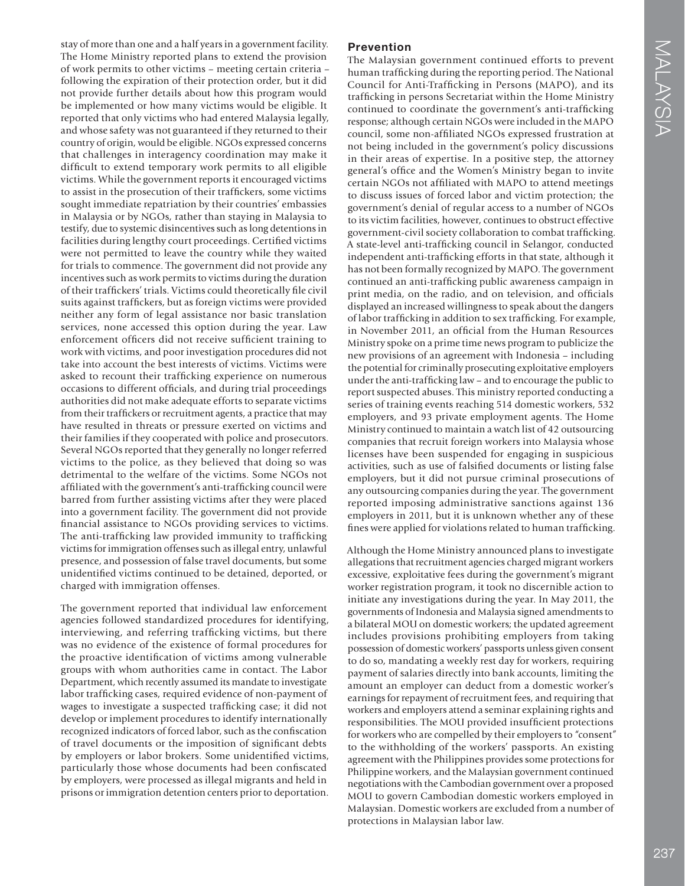stay of more than one and a half years in a government facility. The Home Ministry reported plans to extend the provision of work permits to other victims – meeting certain criteria – following the expiration of their protection order, but it did not provide further details about how this program would be implemented or how many victims would be eligible. It reported that only victims who had entered Malaysia legally, and whose safety was not guaranteed if they returned to their country of origin, would be eligible. NGOs expressed concerns that challenges in interagency coordination may make it diffcult to extend temporary work permits to all eligible victims. While the government reports it encouraged victims to assist in the prosecution of their traffckers, some victims sought immediate repatriation by their countries' embassies in Malaysia or by NGOs, rather than staying in Malaysia to testify, due to systemic disincentives such as long detentions in facilities during lengthy court proceedings. Certifed victims were not permitted to leave the country while they waited for trials to commence. The government did not provide any incentives such as work permits to victims during the duration of their traffckers' trials. Victims could theoretically fle civil suits against traffckers, but as foreign victims were provided neither any form of legal assistance nor basic translation services, none accessed this option during the year. Law enforcement offcers did not receive suffcient training to work with victims, and poor investigation procedures did not take into account the best interests of victims. Victims were asked to recount their traffcking experience on numerous occasions to different offcials, and during trial proceedings authorities did not make adequate efforts to separate victims from their traffckers or recruitment agents, a practice that may have resulted in threats or pressure exerted on victims and their families if they cooperated with police and prosecutors. Several NGOs reported that they generally no longer referred victims to the police, as they believed that doing so was detrimental to the welfare of the victims. Some NGOs not affliated with the government's anti-traffcking council were barred from further assisting victims after they were placed into a government facility. The government did not provide fnancial assistance to NGOs providing services to victims. The anti-traffcking law provided immunity to traffcking victims for immigration offenses such as illegal entry, unlawful presence, and possession of false travel documents, but some unidentifed victims continued to be detained, deported, or charged with immigration offenses.

The government reported that individual law enforcement agencies followed standardized procedures for identifying, interviewing, and referring trafficking victims, but there was no evidence of the existence of formal procedures for the proactive identifcation of victims among vulnerable groups with whom authorities came in contact. The Labor Department, which recently assumed its mandate to investigate labor traffcking cases, required evidence of non-payment of wages to investigate a suspected traffcking case; it did not develop or implement procedures to identify internationally recognized indicators of forced labor, such as the confscation of travel documents or the imposition of signifcant debts by employers or labor brokers. Some unidentifed victims, particularly those whose documents had been confscated by employers, were processed as illegal migrants and held in prisons or immigration detention centers prior to deportation.

### **Prevention**

The Malaysian government continued efforts to prevent human traffcking during the reporting period. The National Council for Anti-Traffcking in Persons (MAPO), and its traffcking in persons Secretariat within the Home Ministry continued to coordinate the government's anti-trafficking response; although certain NGOs were included in the MAPO council, some non-affliated NGOs expressed frustration at not being included in the government's policy discussions in their areas of expertise. In a positive step, the attorney general's office and the Women's Ministry began to invite certain NGOs not affliated with MAPO to attend meetings to discuss issues of forced labor and victim protection; the government's denial of regular access to a number of NGOs to its victim facilities, however, continues to obstruct effective government-civil society collaboration to combat traffcking. A state-level anti-traffcking council in Selangor, conducted independent anti-traffcking efforts in that state, although it has not been formally recognized by MAPO. The government continued an anti-traffcking public awareness campaign in print media, on the radio, and on television, and officials displayed an increased willingness to speak about the dangers of labor traffcking in addition to sex traffcking. For example, in November 2011, an official from the Human Resources Ministry spoke on a prime time news program to publicize the new provisions of an agreement with Indonesia – including the potential for criminally prosecuting exploitative employers under the anti-traffcking law – and to encourage the public to report suspected abuses. This ministry reported conducting a series of training events reaching 514 domestic workers, 532 employers, and 93 private employment agents. The Home Ministry continued to maintain a watch list of 42 outsourcing companies that recruit foreign workers into Malaysia whose licenses have been suspended for engaging in suspicious activities, such as use of falsifed documents or listing false employers, but it did not pursue criminal prosecutions of any outsourcing companies during the year. The government reported imposing administrative sanctions against 136 employers in 2011, but it is unknown whether any of these fnes were applied for violations related to human traffcking.

Although the Home Ministry announced plans to investigate allegations that recruitment agencies charged migrant workers excessive, exploitative fees during the government's migrant worker registration program, it took no discernible action to initiate any investigations during the year. In May 2011, the governments of Indonesia and Malaysia signed amendments to a bilateral MOU on domestic workers; the updated agreement includes provisions prohibiting employers from taking possession of domestic workers' passports unless given consent to do so, mandating a weekly rest day for workers, requiring payment of salaries directly into bank accounts, limiting the amount an employer can deduct from a domestic worker's earnings for repayment of recruitment fees, and requiring that workers and employers attend a seminar explaining rights and responsibilities. The MOU provided insuffcient protections for workers who are compelled by their employers to "consent" to the withholding of the workers' passports. An existing agreement with the Philippines provides some protections for Philippine workers, and the Malaysian government continued negotiations with the Cambodian government over a proposed MOU to govern Cambodian domestic workers employed in Malaysian. Domestic workers are excluded from a number of protections in Malaysian labor law.